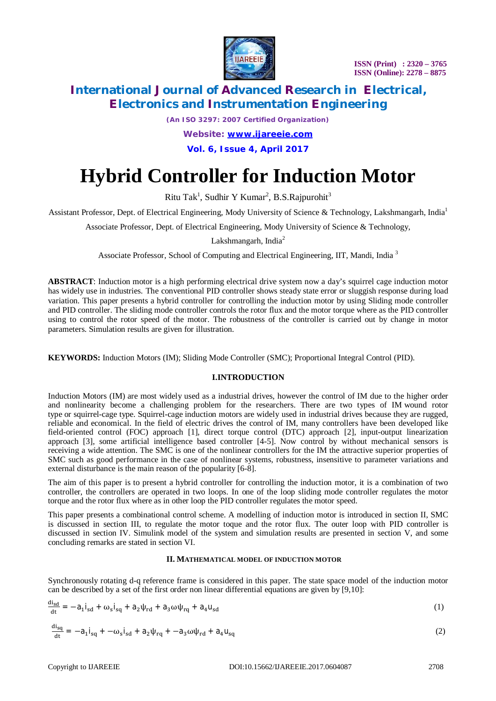

*(An ISO 3297: 2007 Certified Organization)*

*Website: [www.ijareeie.com](http://www.ijareeie.com)*

**Vol. 6, Issue 4, April 2017**

# **Hybrid Controller for Induction Motor**

Ritu Tak<sup>1</sup>, Sudhir Y Kumar<sup>2</sup>, B.S.Rajpurohit<sup>3</sup>

Assistant Professor, Dept. of Electrical Engineering, Mody University of Science & Technology, Lakshmangarh, India<sup>1</sup>

Associate Professor, Dept. of Electrical Engineering, Mody University of Science & Technology,

Lakshmangarh, India $2$ 

Associate Professor, School of Computing and Electrical Engineering, IIT, Mandi, India <sup>3</sup>

**ABSTRACT**: Induction motor is a high performing electrical drive system now a day's squirrel cage induction motor has widely use in industries. The conventional PID controller shows steady state error or sluggish response during load variation. This paper presents a hybrid controller for controlling the induction motor by using Sliding mode controller and PID controller. The sliding mode controller controls the rotor flux and the motor torque where as the PID controller using to control the rotor speed of the motor. The robustness of the controller is carried out by change in motor parameters. Simulation results are given for illustration.

**KEYWORDS:** Induction Motors (IM); Sliding Mode Controller (SMC); Proportional Integral Control (PID).

### **I.INTRODUCTION**

Induction Motors (IM) are most widely used as a industrial drives, however the control of IM due to the higher order and nonlinearity become a challenging problem for the researchers. There are two types of IM wound rotor type or squirrel-cage type. Squirrel-cage induction motors are widely used in industrial drives because they are rugged, reliable and economical. In the field of electric drives the control of IM, many controllers have been developed like field-oriented control (FOC) approach [1], direct torque control (DTC) approach [2], input-output linearization approach [3], some artificial intelligence based controller [4-5]. Now control by without mechanical sensors is receiving a wide attention. The SMC is one of the nonlinear controllers for the IM the attractive superior properties of SMC such as good performance in the case of nonlinear systems, robustness, insensitive to parameter variations and external disturbance is the main reason of the popularity [6-8].

The aim of this paper is to present a hybrid controller for controlling the induction motor, it is a combination of two controller, the controllers are operated in two loops. In one of the loop sliding mode controller regulates the motor torque and the rotor flux where as in other loop the PID controller regulates the motor speed.

This paper presents a combinational control scheme. A modelling of induction motor is introduced in section II, SMC is discussed in section III, to regulate the motor toque and the rotor flux. The outer loop with PID controller is discussed in section IV. Simulink model of the system and simulation results are presented in section V, and some concluding remarks are stated in section VI.

#### **II. MATHEMATICAL MODEL OF INDUCTION MOTOR**

Synchronously rotating d-q reference frame is considered in this paper. The state space model of the induction motor can be described by a set of the first order non linear differential equations are given by [9,10]:

$$
\frac{\mathrm{di}_{\mathrm{sd}}}{\mathrm{dt}} = -a_1 \mathbf{i}_{\mathrm{sd}} + \omega_{\mathrm{s}} \mathbf{i}_{\mathrm{sq}} + a_2 \psi_{\mathrm{rd}} + a_3 \omega \psi_{\mathrm{rq}} + a_4 \mathbf{u}_{\mathrm{sd}} \tag{1}
$$

$$
\frac{di_{sq}}{dt} = -a_1 i_{sq} + -\omega_s i_{sd} + a_2 \psi_{rq} + -a_3 \omega \psi_{rd} + a_4 u_{sq}
$$
 (2)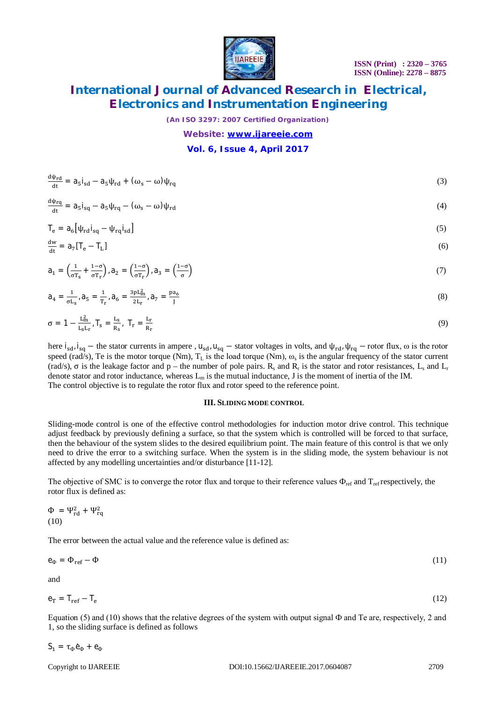

*(An ISO 3297: 2007 Certified Organization)*

#### *Website: [www.ijareeie.com](http://www.ijareeie.com)*

### **Vol. 6, Issue 4, April 2017**

| $\frac{\mathrm{d}\psi_{\rm rd}}{\mathrm{d}t} = a_5 \mathbf{i}_{\rm sd} - a_5 \psi_{\rm rd} + (\omega_s - \omega) \psi_{\rm rq}$ | (3) |
|---------------------------------------------------------------------------------------------------------------------------------|-----|
|                                                                                                                                 |     |

$$
\frac{d\psi_{rq}}{dt} = a_5 i_{sq} - a_5 \psi_{rq} - (\omega_s - \omega) \psi_{rd} \tag{4}
$$

$$
T_e = a_6 \left[ \psi_{rd} i_{sq} - \psi_{rq} i_{sd} \right]
$$
 (5)

$$
\frac{dw}{dt} = a_7[T_e - T_L]
$$
 (6)

$$
a_1 = \left(\frac{1}{\sigma T_s} + \frac{1-\sigma}{\sigma T_r}\right), a_2 = \left(\frac{1-\sigma}{\sigma T_r}\right), a_3 = \left(\frac{1-\sigma}{\sigma}\right)
$$
\n<sup>(7)</sup>

$$
a_4 = \frac{1}{\sigma L_s}, a_5 = \frac{1}{T_r}, a_6 = \frac{3pL_m^2}{2L_r}, a_7 = \frac{pa_6}{J}
$$
\n(8)

$$
\sigma = 1 - \frac{L_m^2}{L_s L_r}, \mathsf{T}_s = \frac{L_s}{R_s}, \mathsf{T}_r = \frac{L_r}{R_r} \tag{9}
$$

here  $i_{sd}$ ,  $i_{sq}$  – the stator currents in ampere,  $u_{sd}$ ,  $u_{sq}$  – stator voltages in volts, and  $\psi_{rd}$ ,  $\psi_{rq}$  – rotor flux,  $\omega$  is the rotor speed (rad/s), Te is the motor torque (Nm),  $T_L$  is the load torque (Nm),  $\omega_s$  is the angular frequency of the stator current (rad/s),  $\sigma$  is the leakage factor and p – the number of pole pairs.  $R_s$  and  $R_r$  is the stator and rotor resistances,  $L_s$  and  $L_r$ denote stator and rotor inductance, whereas  $L_m$  is the mutual inductance, J is the moment of inertia of the IM. The control objective is to regulate the rotor flux and rotor speed to the reference point.

#### **III. SLIDING MODE CONTROL**

Sliding-mode control is one of the effective control methodologies for induction motor drive control. This technique adjust feedback by previously defining a surface, so that the system which is controlled will be forced to that surface, then the behaviour of the system slides to the desired equilibrium point. The main feature of this control is that we only need to drive the error to a switching surface. When the system is in the sliding mode, the system behaviour is not affected by any modelling uncertainties and/or disturbance [11-12].

The objective of SMC is to converge the rotor flux and torque to their reference values  $\Phi_{\text{ref}}$  and  $T_{\text{ref}}$  respectively, the rotor flux is defined as:

$$
\Phi = \Psi_{rd}^2 + \Psi_{rq}^2
$$
  
(10)

The error between the actual value and the reference value is defined as:

 $e_{\Phi} = \Phi_{\text{ref}} - \Phi$  (11)

and

$$
\mathbf{e}_{\mathbf{T}} = \mathbf{T}_{\mathbf{ref}} - \mathbf{T}_{\mathbf{e}} \tag{12}
$$

Equation (5) and (10) shows that the relative degrees of the system with output signal  $\Phi$  and Te are, respectively, 2 and 1, so the sliding surface is defined as follows

$$
S_1 = \tau_{\Phi} \dot{e}_{\Phi} + e_{\Phi}
$$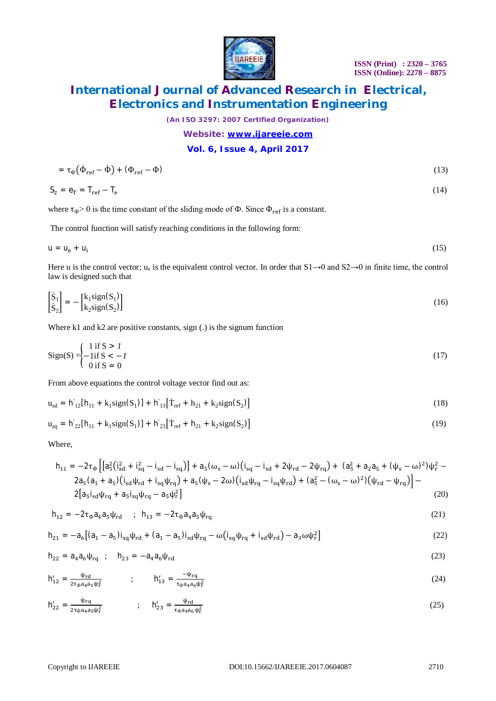

*(An ISO 3297: 2007 Certified Organization)*

### *Website: [www.ijareeie.com](http://www.ijareeie.com)*

### **Vol. 6, Issue 4, April 2017**

$$
= \tau_{\Phi} \left( \dot{\Phi}_{\rm ref} - \dot{\Phi} \right) + \left( \Phi_{\rm ref} - \Phi \right) \tag{13}
$$

$$
S_2 = e_T = T_{ref} - T_e \tag{14}
$$

where  $\tau_{\Phi}$  > 0 is the time constant of the sliding mode of  $\Phi$ . Since  $\Phi_{ref}$  is a constant.

The control function will satisfy reaching conditions in the following form:

$$
u = u_e + u_i \tag{15}
$$

Here u is the control vector;  $u_e$  is the equivalent control vector. In order that  $S1\rightarrow 0$  and  $S2\rightarrow 0$  in finite time, the control law is designed such that

$$
\begin{bmatrix} \dot{\mathbf{S}}_1 \\ \dot{\mathbf{S}}_2 \end{bmatrix} = - \begin{bmatrix} \mathbf{k}_1 \text{sign}(\mathbf{S}_1) \\ \mathbf{k}_2 \text{sign}(\mathbf{S}_2) \end{bmatrix} \tag{16}
$$

Where k1 and k2 are positive constants, sign (.) is the signum function

$$
Sign(S) = \begin{cases} 1 \text{ if } S > 1 \\ -1 \text{ if } S < -1 \\ 0 \text{ if } S = 0 \end{cases} \tag{17}
$$

From above equations the control voltage vector find out as:

$$
u_{sd} = h'_{12}[h_{11} + k_1 sign(S_1)] + h'_{13}[T_{ref} + h_{21} + k_2 sign(S_2)]
$$
\n(18)

$$
u_{sq} = h'_{22}[h_{11} + k_1 sign(S_1)] + h'_{23}[T_{ref} + h_{21} + k_2 sign(S_2)]
$$
\n(19)

Where,

$$
h_{11} = -2\tau_{\Phi} \left[ \left[ a_{5}^{2} \left( i_{sd}^{2} + i_{sq}^{2} - i_{sd} - i_{sq} \right) \right] + a_{5} (\omega_{s} - \omega) \left( i_{sq} - i_{sd} + 2\psi_{rd} - 2\psi_{rq} \right) + (a_{5}^{2} + a_{2}a_{5} + (\psi_{s} - \omega)^{2}) \psi_{r}^{2} - 2a_{5} (a_{1} + a_{5}) \left( i_{sd} \psi_{rd} + i_{sq} \psi_{rq} \right) + a_{5} (\psi_{s} - 2\omega) \left( i_{sd} \psi_{rq} - i_{sq} \psi_{rd} \right) + (a_{5}^{2} - (\omega_{s} - \omega)^{2}) \left( \psi_{rd} - \psi_{rq} \right) \right] - 2 \left[ a_{5} i_{sd} \psi_{rq} + a_{5} i_{sq} \psi_{rq} - a_{5} \psi_{r}^{2} \right]
$$
\n(20)

$$
h_{12} = -2\tau_{\phi}a_4a_5\psi_{\rm rd} \quad ; \quad h_{13} = -2\tau_{\phi}a_4a_5\psi_{\rm rq} \tag{21}
$$

$$
h_{21} = -a_6 \left[ (a_1 - a_5) i_{sq} \psi_{rd} + (a_1 - a_5) i_{sd} \psi_{rq} - \omega (i_{sq} \psi_{rq} + i_{sd} \psi_{rd}) - a_3 \omega \psi_r^2 \right]
$$
(22)

$$
h_{22} = a_4 a_6 \psi_{rq} \quad ; \quad h_{23} = -a_4 a_6 \psi_{rd} \tag{23}
$$

$$
h'_{12} = \frac{\Psi_{\rm rd}}{2\tau_{\Phi}a_4a_5\psi_{\rm r}^2} \qquad ; \qquad h'_{13} = \frac{-\Psi_{\rm rq}}{\tau_{\Phi}a_4a_6\psi_{\rm r}^2} \tag{24}
$$

$$
h'_{22} = \frac{\Psi_{rq}}{2\tau_{\Phi}a_4a_5\psi_r^2} \qquad ; \qquad h'_{23} = \frac{\Psi_{rd}}{\tau_{\Phi}a_4a_6\psi_r^2} \tag{25}
$$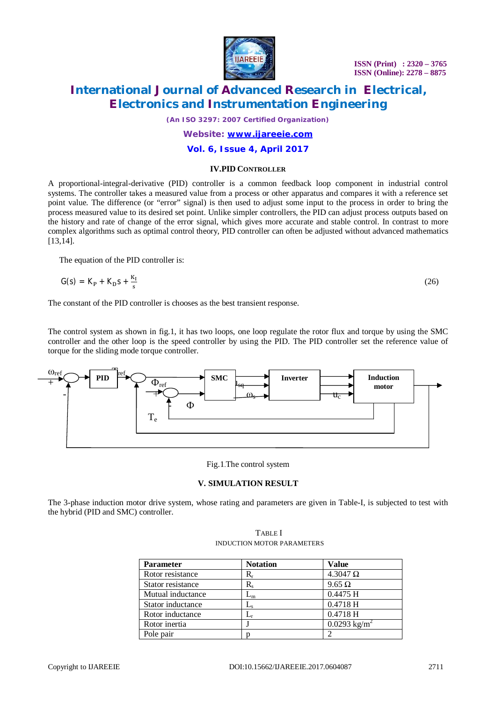

 **ISSN (Print) : 2320 – 3765 ISSN (Online): 2278 – 8875**

### **International Journal of Advanced Research in Electrical, Electronics and Instrumentation Engineering**

*(An ISO 3297: 2007 Certified Organization)*

### *Website: [www.ijareeie.com](http://www.ijareeie.com)*

### **Vol. 6, Issue 4, April 2017**

#### **IV.PID CONTROLLER**

A proportional-integral-derivative (PID) controller is a common feedback loop component in industrial control systems. The controller takes a measured value from a process or other apparatus and compares it with a reference set point value. The difference (or "error" signal) is then used to adjust some input to the process in order to bring the process measured value to its desired set point. Unlike simpler controllers, the PID can adjust process outputs based on the history and rate of change of the error signal, which gives more accurate and stable control. In contrast to more complex algorithms such as optimal control theory, PID controller can often be adjusted without advanced mathematics [13,14].

The equation of the PID controller is:

$$
G(s) = KP + KDs + \frac{KI}{s}
$$
 (26)

The constant of the PID controller is chooses as the best transient response.

The control system as shown in fig.1, it has two loops, one loop regulate the rotor flux and torque by using the SMC controller and the other loop is the speed controller by using the PID. The PID controller set the reference value of torque for the sliding mode torque controller.



Fig.1.The control system

### **V. SIMULATION RESULT**

The 3-phase induction motor drive system, whose rating and parameters are given in Table-I, is subjected to test with the hybrid (PID and SMC) controller.

| TABLE I                    |  |  |  |
|----------------------------|--|--|--|
| INDUCTION MOTOR PARAMETERS |  |  |  |
|                            |  |  |  |

| <b>Parameter</b>  | <b>Notation</b>           | Value                   |
|-------------------|---------------------------|-------------------------|
| Rotor resistance  | R,                        | $4.3047 \Omega$         |
| Stator resistance | R.                        | $9.65 \Omega$           |
| Mutual inductance | $\mathsf{L}_\mathsf{m}$   | $0.4475$ H              |
| Stator inductance | $\mathsf{L}_{\mathrm{s}}$ | 0.4718 H                |
| Rotor inductance  |                           | 0.4718 H                |
| Rotor inertia     |                           | $0.0293 \text{ kg/m}^2$ |
| Pole pair         |                           |                         |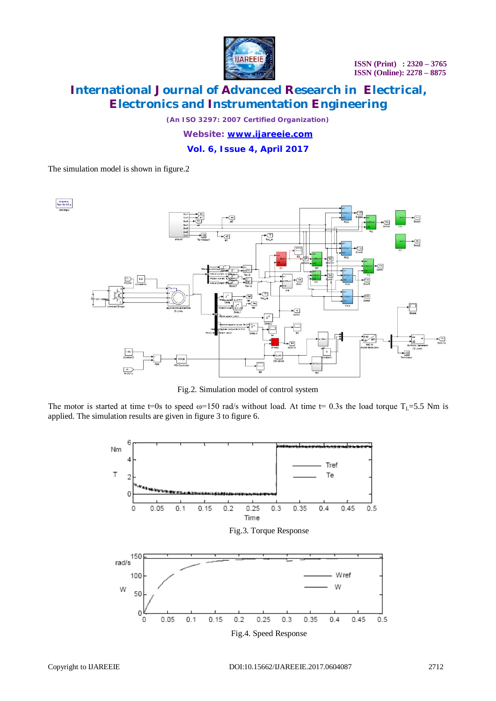

*(An ISO 3297: 2007 Certified Organization)*

*Website: [www.ijareeie.com](http://www.ijareeie.com)*

**Vol. 6, Issue 4, April 2017**

The simulation model is shown in figure.2



Fig.2. Simulation model of control system

The motor is started at time t=0s to speed  $\omega$ =150 rad/s without load. At time t= 0.3s the load torque T<sub>L</sub>=5.5 Nm is applied. The simulation results are given in figure 3 to figure 6.

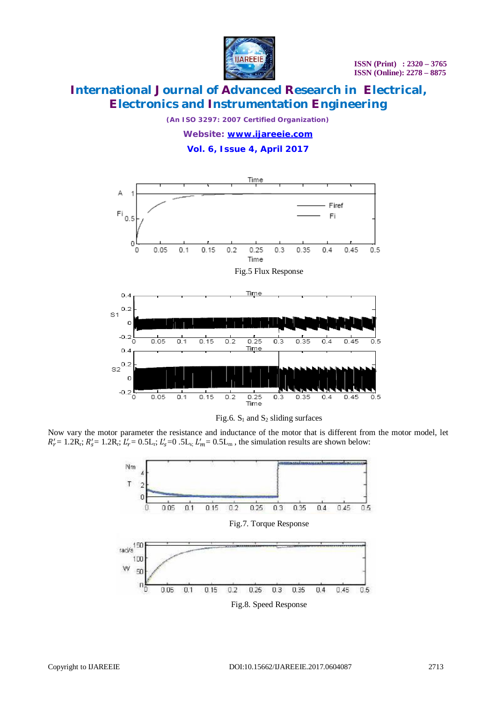

*(An ISO 3297: 2007 Certified Organization) Website: [www.ijareeie.com](http://www.ijareeie.com)*

**Vol. 6, Issue 4, April 2017**





Now vary the motor parameter the resistance and inductance of the motor that is different from the motor model, let  $R'_r = 1.2R_r$ ;  $R'_s = 1.2R_r$ ;  $L'_r = 0.5L_r$ ;  $L'_s = 0.5L_s$ ;  $L'_m = 0.5L_m$ , the simulation results are shown below: